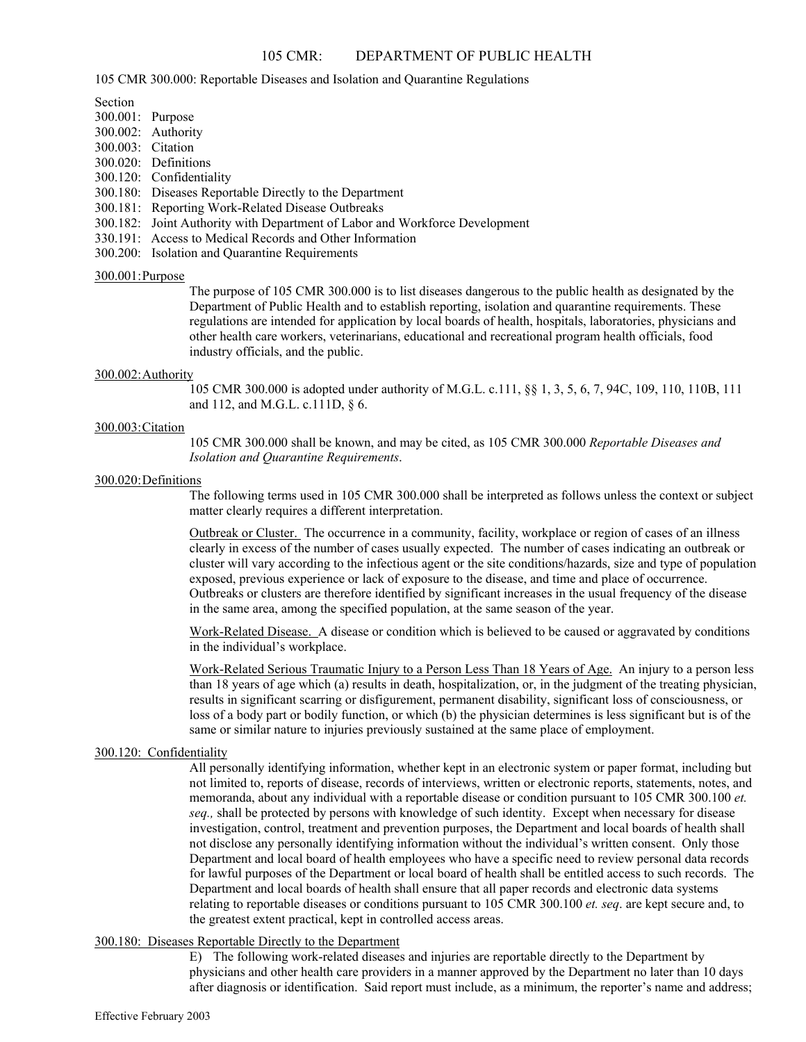# 105 CMR: DEPARTMENT OF PUBLIC HEALTH

105 CMR 300.000: Reportable Diseases and Isolation and Quarantine Regulations

Section

- 300.001: Purpose
- 300.002: Authority
- 300.003: Citation
- 300.020: Definitions
- 300.120: Confidentiality
- 300.180: Diseases Reportable Directly to the Department
- 300.181: Reporting Work-Related Disease Outbreaks
- 300.182: Joint Authority with Department of Labor and Workforce Development
- 330.191: Access to Medical Records and Other Information
- 300.200: Isolation and Quarantine Requirements

## 300.001: Purpose

The purpose of 105 CMR 300.000 is to list diseases dangerous to the public health as designated by the Department of Public Health and to establish reporting, isolation and quarantine requirements. These regulations are intended for application by local boards of health, hospitals, laboratories, physicians and other health care workers, veterinarians, educational and recreational program health officials, food industry officials, and the public.

## 300.002: Authority

105 CMR 300.000 is adopted under authority of M.G.L. c.111, §§ 1, 3, 5, 6, 7, 94C, 109, 110, 110B, 111 and 112, and M.G.L. c.111D, § 6.

## 300.003: Citation

105 CMR 300.000 shall be known, and may be cited, as 105 CMR 300.000 *Reportable Diseases and Isolation and Quarantine Requirements*.

## 300.020: Definitions

The following terms used in 105 CMR 300.000 shall be interpreted as follows unless the context or subject matter clearly requires a different interpretation.

Outbreak or Cluster. The occurrence in a community, facility, workplace or region of cases of an illness clearly in excess of the number of cases usually expected. The number of cases indicating an outbreak or cluster will vary according to the infectious agent or the site conditions/hazards, size and type of population exposed, previous experience or lack of exposure to the disease, and time and place of occurrence. Outbreaks or clusters are therefore identified by significant increases in the usual frequency of the disease in the same area, among the specified population, at the same season of the year.

Work-Related Disease. A disease or condition which is believed to be caused or aggravated by conditions in the individual's workplace.

Work-Related Serious Traumatic Injury to a Person Less Than 18 Years of Age.An injury to a person less than 18 years of age which (a) results in death, hospitalization, or, in the judgment of the treating physician, results in significant scarring or disfigurement, permanent disability, significant loss of consciousness, or loss of a body part or bodily function, or which (b) the physician determines is less significant but is of the same or similar nature to injuries previously sustained at the same place of employment.

## 300.120: Confidentiality

All personally identifying information, whether kept in an electronic system or paper format, including but not limited to, reports of disease, records of interviews, written or electronic reports, statements, notes, and memoranda, about any individual with a reportable disease or condition pursuant to 105 CMR 300.100 *et. seq.,* shall be protected by persons with knowledge of such identity. Except when necessary for disease investigation, control, treatment and prevention purposes, the Department and local boards of health shall not disclose any personally identifying information without the individual's written consent. Only those Department and local board of health employees who have a specific need to review personal data records for lawful purposes of the Department or local board of health shall be entitled access to such records. The Department and local boards of health shall ensure that all paper records and electronic data systems relating to reportable diseases or conditions pursuant to 105 CMR 300.100 *et. seq*. are kept secure and, to the greatest extent practical, kept in controlled access areas.

## 300.180: Diseases Reportable Directly to the Department

E) The following work-related diseases and injuries are reportable directly to the Department by physicians and other health care providers in a manner approved by the Department no later than 10 days after diagnosis or identification. Said report must include, as a minimum, the reporter's name and address;